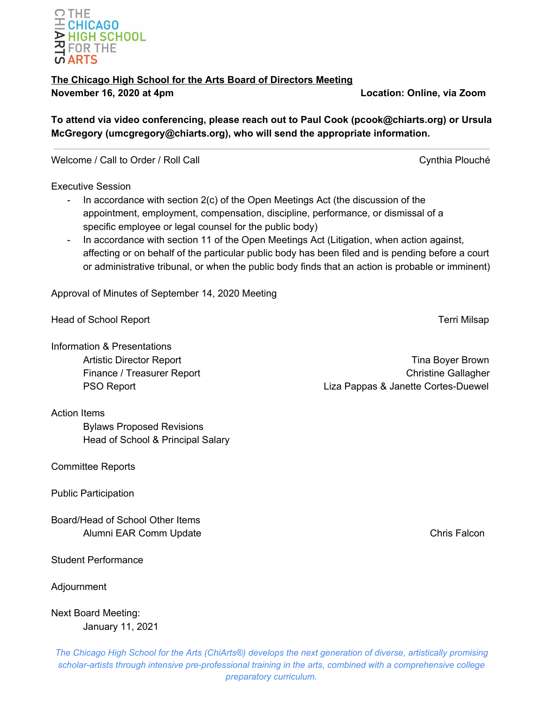## OTHE  $E$  CHICAGO  $\blacktriangleright$  HIGH SCHOOL <u>각 FOR THE</u> **vi ARTS**

# **The Chicago High School for the Arts Board of Directors Meeting**

**November 16, 2020 at 4pm Location: Online, via Zoom**

**To attend via video conferencing, please reach out to Paul Cook (pcook@chiarts.org) or Ursula McGregory (umcgregory@chiarts.org), who will send the appropriate information.**

Welcome / Call to Order / Roll Call Call Cynthia Plouché

Executive Session

- In accordance with section 2(c) of the Open Meetings Act (the discussion of the appointment, employment, compensation, discipline, performance, or dismissal of a specific employee or legal counsel for the public body)
- In accordance with section 11 of the Open Meetings Act (Litigation, when action against, affecting or on behalf of the particular public body has been filed and is pending before a court or administrative tribunal, or when the public body finds that an action is probable or imminent)

Approval of Minutes of September 14, 2020 Meeting

Head of School Report **Terri Milsap** 

Information & Presentations

Artistic Director Report **Time Boyer Brown** Finance / Treasurer Report **Christian Christian Christian Christian Christian Christian Christian Christian Christian Christian Christian Christian Christian Christian Christian Christian Christian Christian Christian Chri** PSO Report **Liza Pappas & Janette Cortes-Duewel** 

Action Items

Bylaws Proposed Revisions Head of School & Principal Salary

Committee Reports

Public Participation

Board/Head of School Other Items Alumni EAR Comm Update Chris Falcon Chris Falcon

Student Performance

Adjournment

Next Board Meeting: January 11, 2021

*The Chicago High School for the Arts (ChiArts®) develops the next generation of diverse, artistically promising scholar-artists through intensive pre-professional training in the arts, combined with a comprehensive college preparatory curriculum.*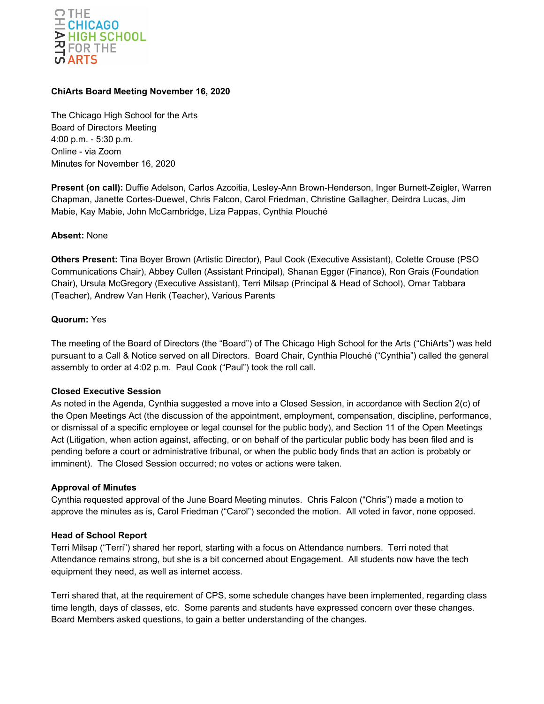

## **ChiArts Board Meeting November 16, 2020**

The Chicago High School for the Arts Board of Directors Meeting 4:00 p.m. - 5:30 p.m. Online - via Zoom Minutes for November 16, 2020

**Present (on call):** Duffie Adelson, Carlos Azcoitia, Lesley-Ann Brown-Henderson, Inger Burnett-Zeigler, Warren Chapman, Janette Cortes-Duewel, Chris Falcon, Carol Friedman, Christine Gallagher, Deirdra Lucas, Jim Mabie, Kay Mabie, John McCambridge, Liza Pappas, Cynthia Plouché

## **Absent:** None

**Others Present:** Tina Boyer Brown (Artistic Director), Paul Cook (Executive Assistant), Colette Crouse (PSO Communications Chair), Abbey Cullen (Assistant Principal), Shanan Egger (Finance), Ron Grais (Foundation Chair), Ursula McGregory (Executive Assistant), Terri Milsap (Principal & Head of School), Omar Tabbara (Teacher), Andrew Van Herik (Teacher), Various Parents

## **Quorum:** Yes

The meeting of the Board of Directors (the "Board") of The Chicago High School for the Arts ("ChiArts") was held pursuant to a Call & Notice served on all Directors. Board Chair, Cynthia Plouché ("Cynthia") called the general assembly to order at 4:02 p.m. Paul Cook ("Paul") took the roll call.

#### **Closed Executive Session**

As noted in the Agenda, Cynthia suggested a move into a Closed Session, in accordance with Section 2(c) of the Open Meetings Act (the discussion of the appointment, employment, compensation, discipline, performance, or dismissal of a specific employee or legal counsel for the public body), and Section 11 of the Open Meetings Act (Litigation, when action against, affecting, or on behalf of the particular public body has been filed and is pending before a court or administrative tribunal, or when the public body finds that an action is probably or imminent). The Closed Session occurred; no votes or actions were taken.

#### **Approval of Minutes**

Cynthia requested approval of the June Board Meeting minutes. Chris Falcon ("Chris") made a motion to approve the minutes as is, Carol Friedman ("Carol") seconded the motion. All voted in favor, none opposed.

## **Head of School Report**

Terri Milsap ("Terri") shared her report, starting with a focus on Attendance numbers. Terri noted that Attendance remains strong, but she is a bit concerned about Engagement. All students now have the tech equipment they need, as well as internet access.

Terri shared that, at the requirement of CPS, some schedule changes have been implemented, regarding class time length, days of classes, etc. Some parents and students have expressed concern over these changes. Board Members asked questions, to gain a better understanding of the changes.